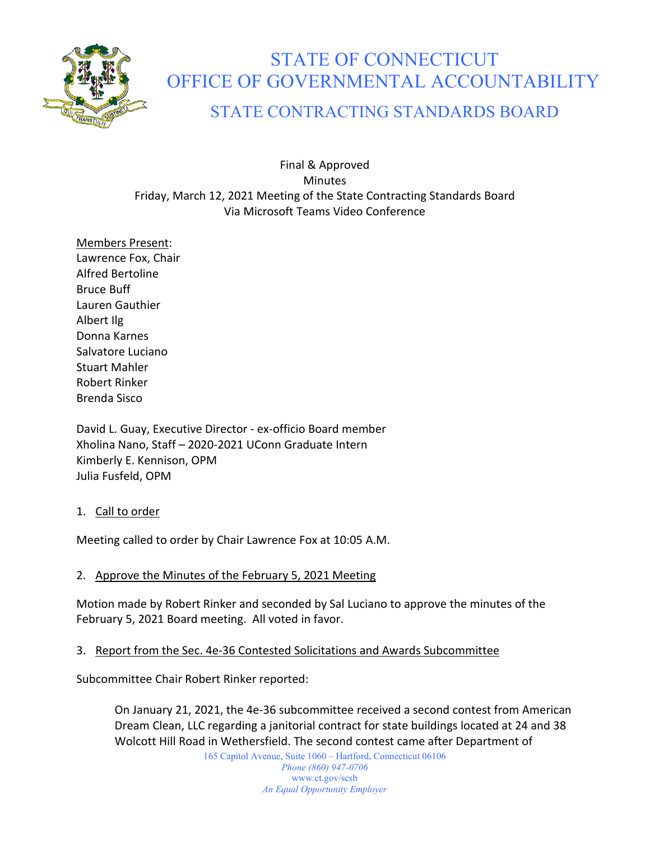

# STATE OF CONNECTICUT OFFICE OF GOVERNMENTAL ACCOUNTABILITY

# STATE CONTRACTING STANDARDS BOARD

Final & Approved **Minutes** Friday, March 12, 2021 Meeting of the State Contracting Standards Board Via Microsoft Teams Video Conference

Members Present: Lawrence Fox, Chair Alfred Bertoline Bruce Buff Lauren Gauthier Albert Ilg Donna Karnes Salvatore Luciano Stuart Mahler Robert Rinker Brenda Sisco

David L. Guay, Executive Director - ex-officio Board member Xholina Nano, Staff – 2020-2021 UConn Graduate Intern Kimberly E. Kennison, OPM Julia Fusfeld, OPM

# 1. Call to order

Meeting called to order by Chair Lawrence Fox at 10:05 A.M.

# 2. Approve the Minutes of the February 5, 2021 Meeting

Motion made by Robert Rinker and seconded by Sal Luciano to approve the minutes of the February 5, 2021 Board meeting. All voted in favor.

# 3. Report from the Sec. 4e-36 Contested Solicitations and Awards Subcommittee

Subcommittee Chair Robert Rinker reported:

On January 21, 2021, the 4e-36 subcommittee received a second contest from American Dream Clean, LLC regarding a janitorial contract for state buildings located at 24 and 38 Wolcott Hill Road in Wethersfield. The second contest came after Department of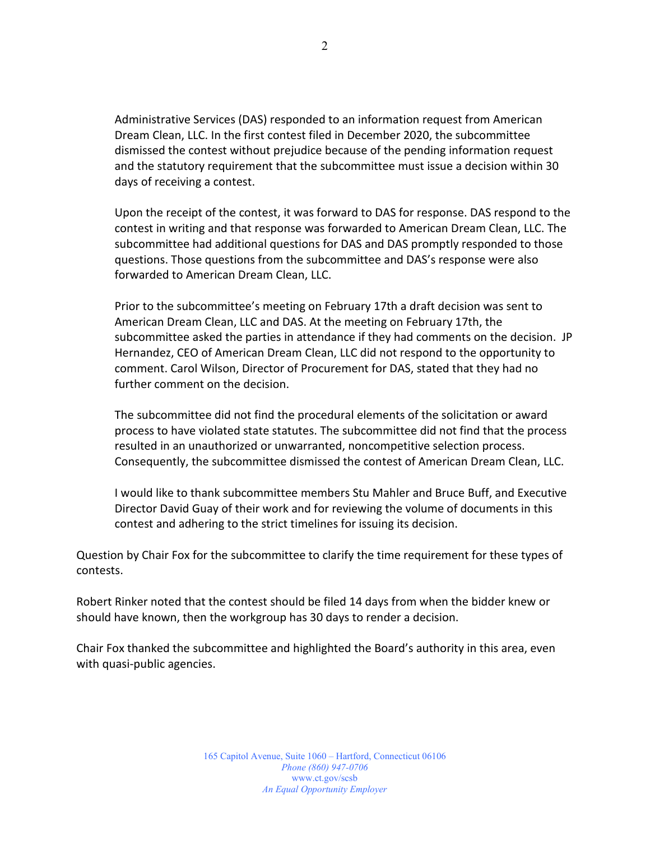Administrative Services (DAS) responded to an information request from American Dream Clean, LLC. In the first contest filed in December 2020, the subcommittee dismissed the contest without prejudice because of the pending information request and the statutory requirement that the subcommittee must issue a decision within 30 days of receiving a contest.

Upon the receipt of the contest, it was forward to DAS for response. DAS respond to the contest in writing and that response was forwarded to American Dream Clean, LLC. The subcommittee had additional questions for DAS and DAS promptly responded to those questions. Those questions from the subcommittee and DAS's response were also forwarded to American Dream Clean, LLC.

Prior to the subcommittee's meeting on February 17th a draft decision was sent to American Dream Clean, LLC and DAS. At the meeting on February 17th, the subcommittee asked the parties in attendance if they had comments on the decision. JP Hernandez, CEO of American Dream Clean, LLC did not respond to the opportunity to comment. Carol Wilson, Director of Procurement for DAS, stated that they had no further comment on the decision.

The subcommittee did not find the procedural elements of the solicitation or award process to have violated state statutes. The subcommittee did not find that the process resulted in an unauthorized or unwarranted, noncompetitive selection process. Consequently, the subcommittee dismissed the contest of American Dream Clean, LLC.

I would like to thank subcommittee members Stu Mahler and Bruce Buff, and Executive Director David Guay of their work and for reviewing the volume of documents in this contest and adhering to the strict timelines for issuing its decision.

Question by Chair Fox for the subcommittee to clarify the time requirement for these types of contests.

Robert Rinker noted that the contest should be filed 14 days from when the bidder knew or should have known, then the workgroup has 30 days to render a decision.

Chair Fox thanked the subcommittee and highlighted the Board's authority in this area, even with quasi-public agencies.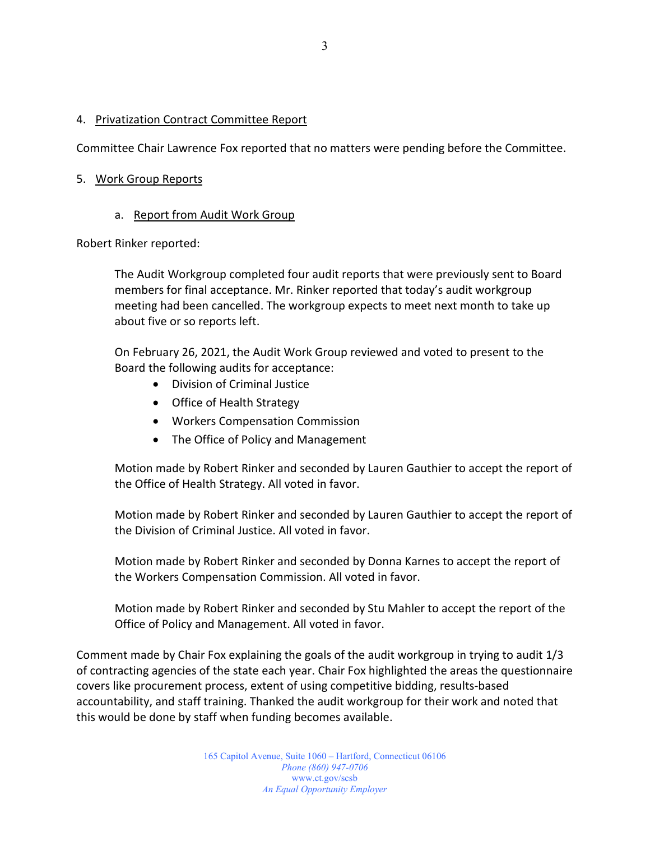#### 4. Privatization Contract Committee Report

Committee Chair Lawrence Fox reported that no matters were pending before the Committee.

#### 5. Work Group Reports

#### a. Report from Audit Work Group

Robert Rinker reported:

The Audit Workgroup completed four audit reports that were previously sent to Board members for final acceptance. Mr. Rinker reported that today's audit workgroup meeting had been cancelled. The workgroup expects to meet next month to take up about five or so reports left.

On February 26, 2021, the Audit Work Group reviewed and voted to present to the Board the following audits for acceptance:

- Division of Criminal Justice
- Office of Health Strategy
- Workers Compensation Commission
- The Office of Policy and Management

Motion made by Robert Rinker and seconded by Lauren Gauthier to accept the report of the Office of Health Strategy. All voted in favor.

Motion made by Robert Rinker and seconded by Lauren Gauthier to accept the report of the Division of Criminal Justice. All voted in favor.

Motion made by Robert Rinker and seconded by Donna Karnes to accept the report of the Workers Compensation Commission. All voted in favor.

Motion made by Robert Rinker and seconded by Stu Mahler to accept the report of the Office of Policy and Management. All voted in favor.

Comment made by Chair Fox explaining the goals of the audit workgroup in trying to audit 1/3 of contracting agencies of the state each year. Chair Fox highlighted the areas the questionnaire covers like procurement process, extent of using competitive bidding, results-based accountability, and staff training. Thanked the audit workgroup for their work and noted that this would be done by staff when funding becomes available.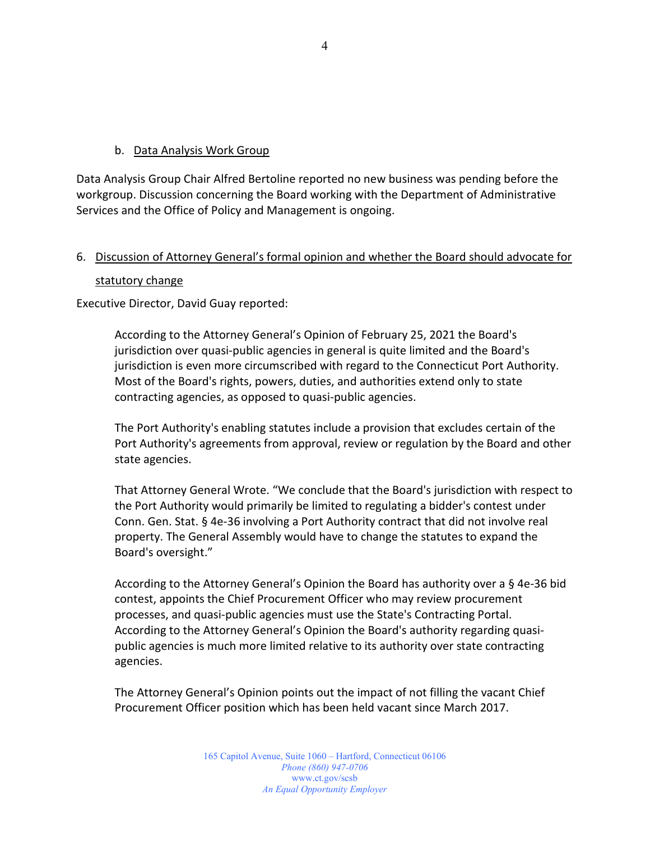#### b. Data Analysis Work Group

Data Analysis Group Chair Alfred Bertoline reported no new business was pending before the workgroup. Discussion concerning the Board working with the Department of Administrative Services and the Office of Policy and Management is ongoing.

### 6. Discussion of Attorney General's formal opinion and whether the Board should advocate for

#### statutory change

Executive Director, David Guay reported:

According to the Attorney General's Opinion of February 25, 2021 the Board's jurisdiction over quasi-public agencies in general is quite limited and the Board's jurisdiction is even more circumscribed with regard to the Connecticut Port Authority. Most of the Board's rights, powers, duties, and authorities extend only to state contracting agencies, as opposed to quasi-public agencies.

The Port Authority's enabling statutes include a provision that excludes certain of the Port Authority's agreements from approval, review or regulation by the Board and other state agencies.

That Attorney General Wrote. "We conclude that the Board's jurisdiction with respect to the Port Authority would primarily be limited to regulating a bidder's contest under Conn. Gen. Stat. § 4e-36 involving a Port Authority contract that did not involve real property. The General Assembly would have to change the statutes to expand the Board's oversight."

According to the Attorney General's Opinion the Board has authority over a § 4e-36 bid contest, appoints the Chief Procurement Officer who may review procurement processes, and quasi-public agencies must use the State's Contracting Portal. According to the Attorney General's Opinion the Board's authority regarding quasipublic agencies is much more limited relative to its authority over state contracting agencies.

The Attorney General's Opinion points out the impact of not filling the vacant Chief Procurement Officer position which has been held vacant since March 2017.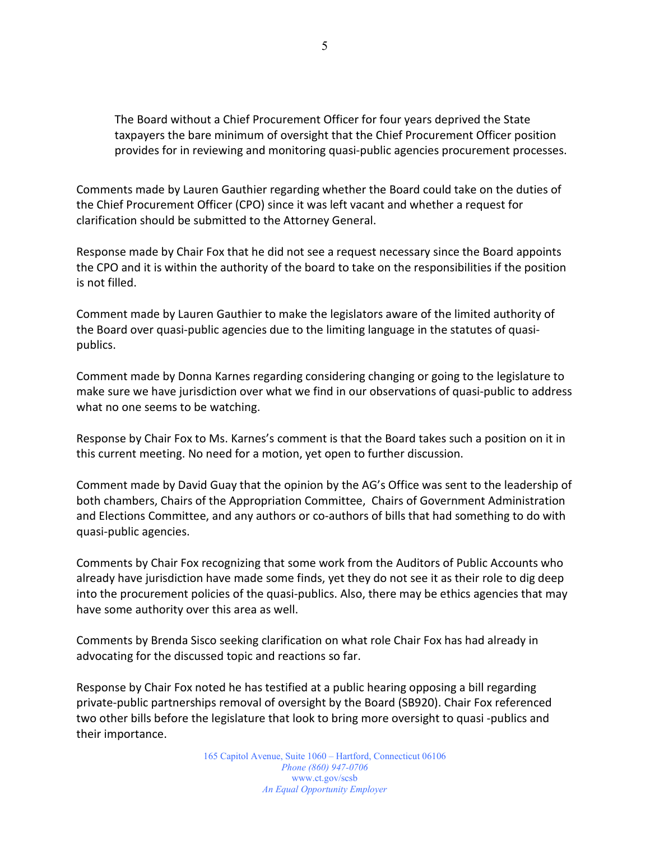The Board without a Chief Procurement Officer for four years deprived the State taxpayers the bare minimum of oversight that the Chief Procurement Officer position provides for in reviewing and monitoring quasi-public agencies procurement processes.

Comments made by Lauren Gauthier regarding whether the Board could take on the duties of the Chief Procurement Officer (CPO) since it was left vacant and whether a request for clarification should be submitted to the Attorney General.

Response made by Chair Fox that he did not see a request necessary since the Board appoints the CPO and it is within the authority of the board to take on the responsibilities if the position is not filled.

Comment made by Lauren Gauthier to make the legislators aware of the limited authority of the Board over quasi-public agencies due to the limiting language in the statutes of quasipublics.

Comment made by Donna Karnes regarding considering changing or going to the legislature to make sure we have jurisdiction over what we find in our observations of quasi-public to address what no one seems to be watching.

Response by Chair Fox to Ms. Karnes's comment is that the Board takes such a position on it in this current meeting. No need for a motion, yet open to further discussion.

Comment made by David Guay that the opinion by the AG's Office was sent to the leadership of both chambers, Chairs of the Appropriation Committee, Chairs of Government Administration and Elections Committee, and any authors or co-authors of bills that had something to do with quasi-public agencies.

Comments by Chair Fox recognizing that some work from the Auditors of Public Accounts who already have jurisdiction have made some finds, yet they do not see it as their role to dig deep into the procurement policies of the quasi-publics. Also, there may be ethics agencies that may have some authority over this area as well.

Comments by Brenda Sisco seeking clarification on what role Chair Fox has had already in advocating for the discussed topic and reactions so far.

Response by Chair Fox noted he has testified at a public hearing opposing a bill regarding private-public partnerships removal of oversight by the Board (SB920). Chair Fox referenced two other bills before the legislature that look to bring more oversight to quasi -publics and their importance.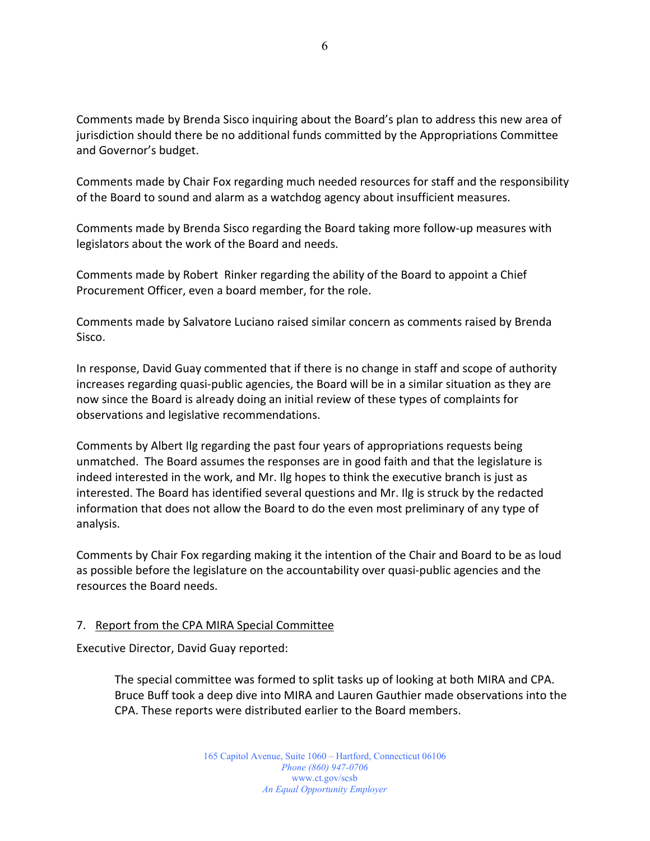Comments made by Brenda Sisco inquiring about the Board's plan to address this new area of jurisdiction should there be no additional funds committed by the Appropriations Committee and Governor's budget.

Comments made by Chair Fox regarding much needed resources for staff and the responsibility of the Board to sound and alarm as a watchdog agency about insufficient measures.

Comments made by Brenda Sisco regarding the Board taking more follow-up measures with legislators about the work of the Board and needs.

Comments made by Robert Rinker regarding the ability of the Board to appoint a Chief Procurement Officer, even a board member, for the role.

Comments made by Salvatore Luciano raised similar concern as comments raised by Brenda Sisco.

In response, David Guay commented that if there is no change in staff and scope of authority increases regarding quasi-public agencies, the Board will be in a similar situation as they are now since the Board is already doing an initial review of these types of complaints for observations and legislative recommendations.

Comments by Albert Ilg regarding the past four years of appropriations requests being unmatched. The Board assumes the responses are in good faith and that the legislature is indeed interested in the work, and Mr. Ilg hopes to think the executive branch is just as interested. The Board has identified several questions and Mr. Ilg is struck by the redacted information that does not allow the Board to do the even most preliminary of any type of analysis.

Comments by Chair Fox regarding making it the intention of the Chair and Board to be as loud as possible before the legislature on the accountability over quasi-public agencies and the resources the Board needs.

# 7. Report from the CPA MIRA Special Committee

Executive Director, David Guay reported:

The special committee was formed to split tasks up of looking at both MIRA and CPA. Bruce Buff took a deep dive into MIRA and Lauren Gauthier made observations into the CPA. These reports were distributed earlier to the Board members.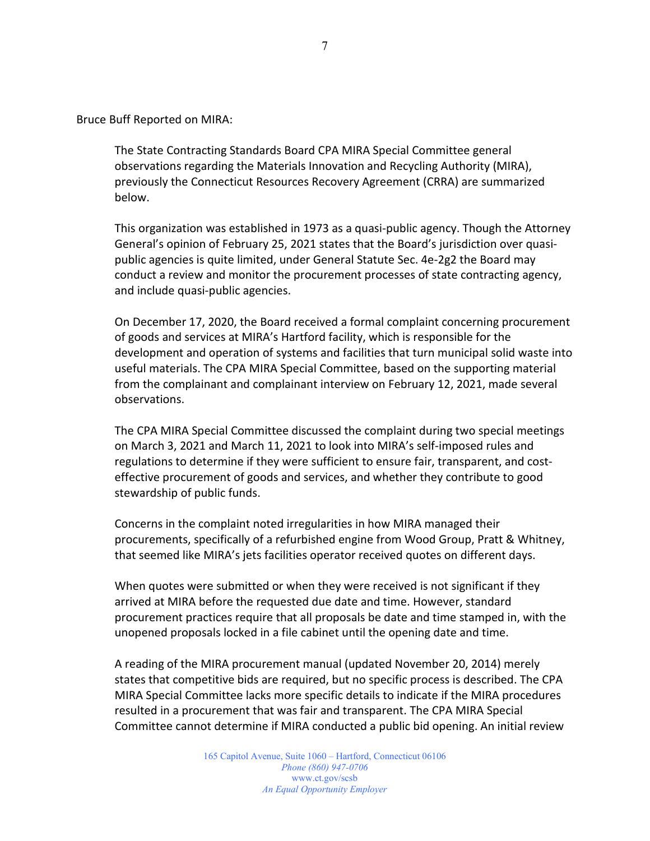Bruce Buff Reported on MIRA:

The State Contracting Standards Board CPA MIRA Special Committee general observations regarding the Materials Innovation and Recycling Authority (MIRA), previously the Connecticut Resources Recovery Agreement (CRRA) are summarized below.

This organization was established in 1973 as a quasi-public agency. Though the Attorney General's opinion of February 25, 2021 states that the Board's jurisdiction over quasipublic agencies is quite limited, under General Statute Sec. 4e-2g2 the Board may conduct a review and monitor the procurement processes of state contracting agency, and include quasi-public agencies.

On December 17, 2020, the Board received a formal complaint concerning procurement of goods and services at MIRA's Hartford facility, which is responsible for the development and operation of systems and facilities that turn municipal solid waste into useful materials. The CPA MIRA Special Committee, based on the supporting material from the complainant and complainant interview on February 12, 2021, made several observations.

The CPA MIRA Special Committee discussed the complaint during two special meetings on March 3, 2021 and March 11, 2021 to look into MIRA's self-imposed rules and regulations to determine if they were sufficient to ensure fair, transparent, and costeffective procurement of goods and services, and whether they contribute to good stewardship of public funds.

Concerns in the complaint noted irregularities in how MIRA managed their procurements, specifically of a refurbished engine from Wood Group, Pratt & Whitney, that seemed like MIRA's jets facilities operator received quotes on different days.

When quotes were submitted or when they were received is not significant if they arrived at MIRA before the requested due date and time. However, standard procurement practices require that all proposals be date and time stamped in, with the unopened proposals locked in a file cabinet until the opening date and time.

A reading of the MIRA procurement manual (updated November 20, 2014) merely states that competitive bids are required, but no specific process is described. The CPA MIRA Special Committee lacks more specific details to indicate if the MIRA procedures resulted in a procurement that was fair and transparent. The CPA MIRA Special Committee cannot determine if MIRA conducted a public bid opening. An initial review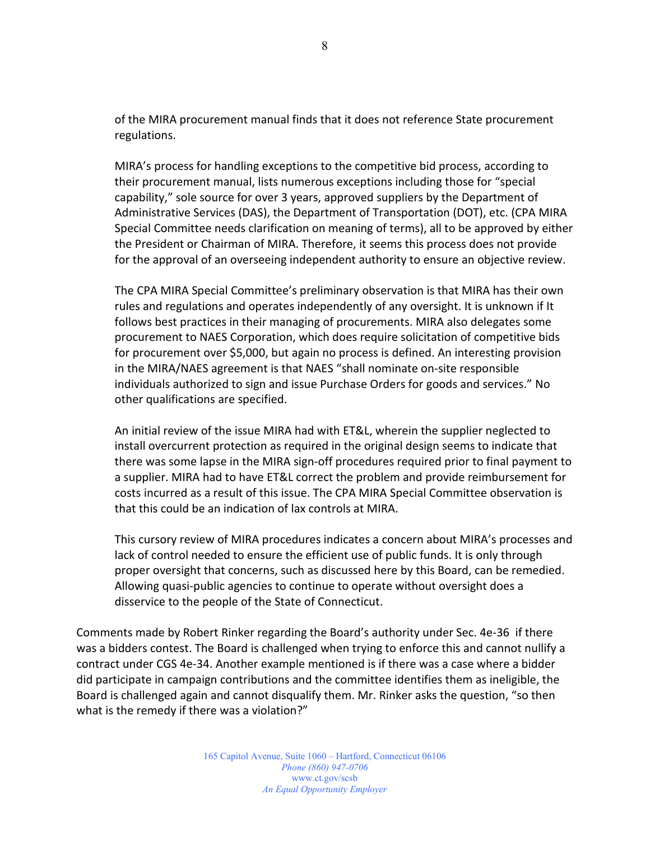of the MIRA procurement manual finds that it does not reference State procurement regulations.

MIRA's process for handling exceptions to the competitive bid process, according to their procurement manual, lists numerous exceptions including those for "special capability," sole source for over 3 years, approved suppliers by the Department of Administrative Services (DAS), the Department of Transportation (DOT), etc. (CPA MIRA Special Committee needs clarification on meaning of terms), all to be approved by either the President or Chairman of MIRA. Therefore, it seems this process does not provide for the approval of an overseeing independent authority to ensure an objective review.

The CPA MIRA Special Committee's preliminary observation is that MIRA has their own rules and regulations and operates independently of any oversight. It is unknown if It follows best practices in their managing of procurements. MIRA also delegates some procurement to NAES Corporation, which does require solicitation of competitive bids for procurement over \$5,000, but again no process is defined. An interesting provision in the MIRA/NAES agreement is that NAES "shall nominate on-site responsible individuals authorized to sign and issue Purchase Orders for goods and services." No other qualifications are specified.

An initial review of the issue MIRA had with ET&L, wherein the supplier neglected to install overcurrent protection as required in the original design seems to indicate that there was some lapse in the MIRA sign-off procedures required prior to final payment to a supplier. MIRA had to have ET&L correct the problem and provide reimbursement for costs incurred as a result of this issue. The CPA MIRA Special Committee observation is that this could be an indication of lax controls at MIRA.

This cursory review of MIRA procedures indicates a concern about MIRA's processes and lack of control needed to ensure the efficient use of public funds. It is only through proper oversight that concerns, such as discussed here by this Board, can be remedied. Allowing quasi-public agencies to continue to operate without oversight does a disservice to the people of the State of Connecticut.

Comments made by Robert Rinker regarding the Board's authority under Sec. 4e-36 if there was a bidders contest. The Board is challenged when trying to enforce this and cannot nullify a contract under CGS 4e-34. Another example mentioned is if there was a case where a bidder did participate in campaign contributions and the committee identifies them as ineligible, the Board is challenged again and cannot disqualify them. Mr. Rinker asks the question, "so then what is the remedy if there was a violation?"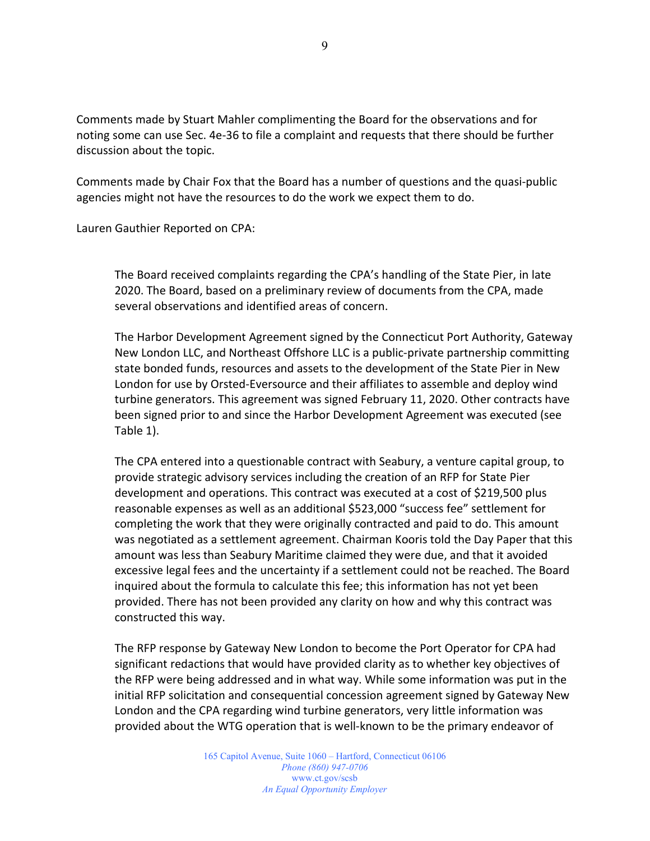Comments made by Stuart Mahler complimenting the Board for the observations and for noting some can use Sec. 4e-36 to file a complaint and requests that there should be further discussion about the topic.

Comments made by Chair Fox that the Board has a number of questions and the quasi-public agencies might not have the resources to do the work we expect them to do.

Lauren Gauthier Reported on CPA:

The Board received complaints regarding the CPA's handling of the State Pier, in late 2020. The Board, based on a preliminary review of documents from the CPA, made several observations and identified areas of concern.

The Harbor Development Agreement signed by the Connecticut Port Authority, Gateway New London LLC, and Northeast Offshore LLC is a public-private partnership committing state bonded funds, resources and assets to the development of the State Pier in New London for use by Orsted-Eversource and their affiliates to assemble and deploy wind turbine generators. This agreement was signed February 11, 2020. Other contracts have been signed prior to and since the Harbor Development Agreement was executed (see Table 1).

The CPA entered into a questionable contract with Seabury, a venture capital group, to provide strategic advisory services including the creation of an RFP for State Pier development and operations. This contract was executed at a cost of \$219,500 plus reasonable expenses as well as an additional \$523,000 "success fee" settlement for completing the work that they were originally contracted and paid to do. This amount was negotiated as a settlement agreement. Chairman Kooris told the Day Paper that this amount was less than Seabury Maritime claimed they were due, and that it avoided excessive legal fees and the uncertainty if a settlement could not be reached. The Board inquired about the formula to calculate this fee; this information has not yet been provided. There has not been provided any clarity on how and why this contract was constructed this way.

The RFP response by Gateway New London to become the Port Operator for CPA had significant redactions that would have provided clarity as to whether key objectives of the RFP were being addressed and in what way. While some information was put in the initial RFP solicitation and consequential concession agreement signed by Gateway New London and the CPA regarding wind turbine generators, very little information was provided about the WTG operation that is well-known to be the primary endeavor of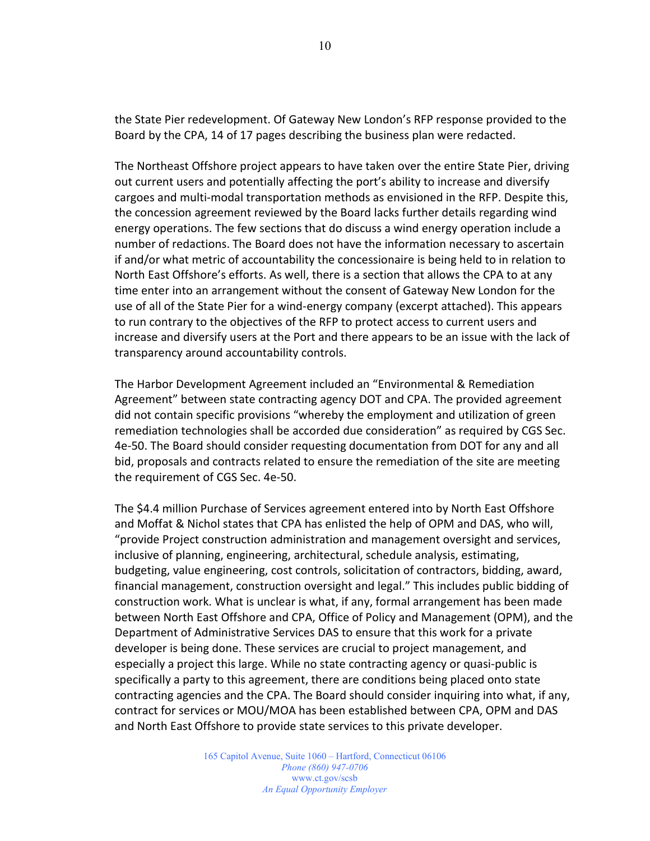the State Pier redevelopment. Of Gateway New London's RFP response provided to the Board by the CPA, 14 of 17 pages describing the business plan were redacted.

The Northeast Offshore project appears to have taken over the entire State Pier, driving out current users and potentially affecting the port's ability to increase and diversify cargoes and multi-modal transportation methods as envisioned in the RFP. Despite this, the concession agreement reviewed by the Board lacks further details regarding wind energy operations. The few sections that do discuss a wind energy operation include a number of redactions. The Board does not have the information necessary to ascertain if and/or what metric of accountability the concessionaire is being held to in relation to North East Offshore's efforts. As well, there is a section that allows the CPA to at any time enter into an arrangement without the consent of Gateway New London for the use of all of the State Pier for a wind-energy company (excerpt attached). This appears to run contrary to the objectives of the RFP to protect access to current users and increase and diversify users at the Port and there appears to be an issue with the lack of transparency around accountability controls.

The Harbor Development Agreement included an "Environmental & Remediation Agreement" between state contracting agency DOT and CPA. The provided agreement did not contain specific provisions "whereby the employment and utilization of green remediation technologies shall be accorded due consideration" as required by CGS Sec. 4e-50. The Board should consider requesting documentation from DOT for any and all bid, proposals and contracts related to ensure the remediation of the site are meeting the requirement of CGS Sec. 4e-50.

The \$4.4 million Purchase of Services agreement entered into by North East Offshore and Moffat & Nichol states that CPA has enlisted the help of OPM and DAS, who will, "provide Project construction administration and management oversight and services, inclusive of planning, engineering, architectural, schedule analysis, estimating, budgeting, value engineering, cost controls, solicitation of contractors, bidding, award, financial management, construction oversight and legal." This includes public bidding of construction work. What is unclear is what, if any, formal arrangement has been made between North East Offshore and CPA, Office of Policy and Management (OPM), and the Department of Administrative Services DAS to ensure that this work for a private developer is being done. These services are crucial to project management, and especially a project this large. While no state contracting agency or quasi-public is specifically a party to this agreement, there are conditions being placed onto state contracting agencies and the CPA. The Board should consider inquiring into what, if any, contract for services or MOU/MOA has been established between CPA, OPM and DAS and North East Offshore to provide state services to this private developer.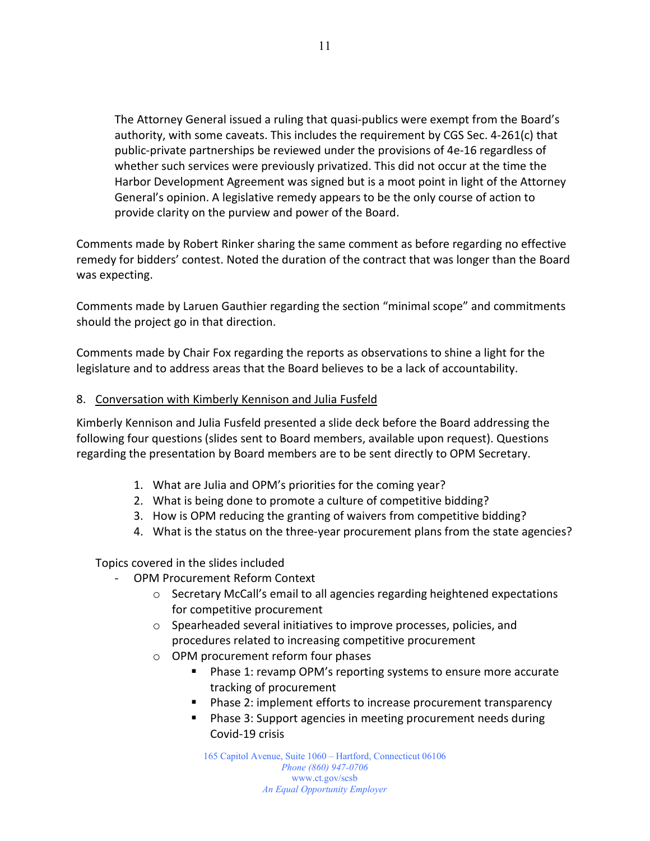The Attorney General issued a ruling that quasi-publics were exempt from the Board's authority, with some caveats. This includes the requirement by CGS Sec. 4-261(c) that public-private partnerships be reviewed under the provisions of 4e-16 regardless of whether such services were previously privatized. This did not occur at the time the Harbor Development Agreement was signed but is a moot point in light of the Attorney General's opinion. A legislative remedy appears to be the only course of action to provide clarity on the purview and power of the Board.

Comments made by Robert Rinker sharing the same comment as before regarding no effective remedy for bidders' contest. Noted the duration of the contract that was longer than the Board was expecting.

Comments made by Laruen Gauthier regarding the section "minimal scope" and commitments should the project go in that direction.

Comments made by Chair Fox regarding the reports as observations to shine a light for the legislature and to address areas that the Board believes to be a lack of accountability.

#### 8. Conversation with Kimberly Kennison and Julia Fusfeld

Kimberly Kennison and Julia Fusfeld presented a slide deck before the Board addressing the following four questions (slides sent to Board members, available upon request). Questions regarding the presentation by Board members are to be sent directly to OPM Secretary.

- 1. What are Julia and OPM's priorities for the coming year?
- 2. What is being done to promote a culture of competitive bidding?
- 3. How is OPM reducing the granting of waivers from competitive bidding?
- 4. What is the status on the three-year procurement plans from the state agencies?

Topics covered in the slides included

- OPM Procurement Reform Context
	- $\circ$  Secretary McCall's email to all agencies regarding heightened expectations for competitive procurement
	- o Spearheaded several initiatives to improve processes, policies, and procedures related to increasing competitive procurement
	- o OPM procurement reform four phases
		- **Phase 1: revamp OPM's reporting systems to ensure more accurate** tracking of procurement
		- **Phase 2: implement efforts to increase procurement transparency**
		- **Phase 3: Support agencies in meeting procurement needs during** Covid-19 crisis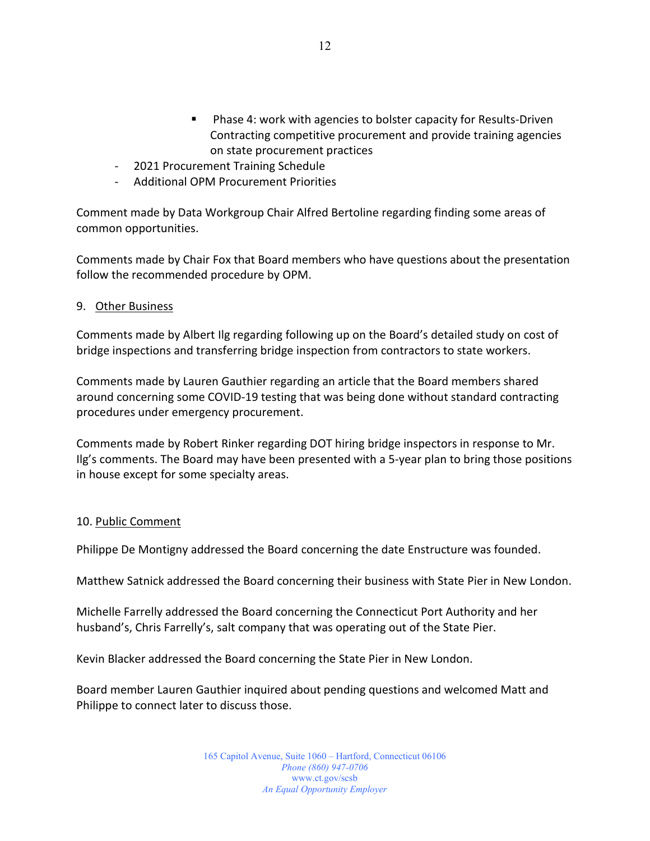- Phase 4: work with agencies to bolster capacity for Results-Driven Contracting competitive procurement and provide training agencies on state procurement practices
- 2021 Procurement Training Schedule
- Additional OPM Procurement Priorities

Comment made by Data Workgroup Chair Alfred Bertoline regarding finding some areas of common opportunities.

Comments made by Chair Fox that Board members who have questions about the presentation follow the recommended procedure by OPM.

#### 9. Other Business

Comments made by Albert Ilg regarding following up on the Board's detailed study on cost of bridge inspections and transferring bridge inspection from contractors to state workers.

Comments made by Lauren Gauthier regarding an article that the Board members shared around concerning some COVID-19 testing that was being done without standard contracting procedures under emergency procurement.

Comments made by Robert Rinker regarding DOT hiring bridge inspectors in response to Mr. Ilg's comments. The Board may have been presented with a 5-year plan to bring those positions in house except for some specialty areas.

#### 10. Public Comment

Philippe De Montigny addressed the Board concerning the date Enstructure was founded.

Matthew Satnick addressed the Board concerning their business with State Pier in New London.

Michelle Farrelly addressed the Board concerning the Connecticut Port Authority and her husband's, Chris Farrelly's, salt company that was operating out of the State Pier.

Kevin Blacker addressed the Board concerning the State Pier in New London.

Board member Lauren Gauthier inquired about pending questions and welcomed Matt and Philippe to connect later to discuss those.